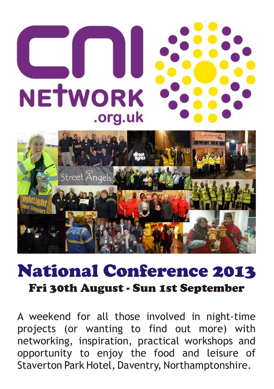

## National Conference 2013 Fri 30th August - Sun 1st September

A weekend for all those involved in night-time projects (or wanting to find out more) with networking, inspiration, practical workshops and opportunity to enjoy the food and leisure of Staverton Park Hotel, Daventry, Northamptonshire.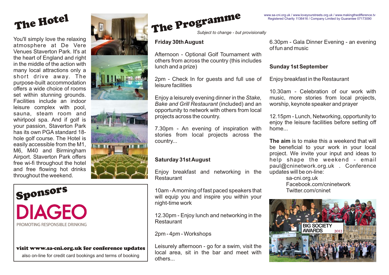

You'll simply love the relaxing atmosphere at De Vere Venues Staverton Park. It's at the heart of England and right in the middle of the action with many local attractions only a short drive away. The purpose-built accommodation offers a wide choice of rooms set within stunning grounds. Facilities include an indoor leisure complex with pool, sauna, steam room and whirlpool spa. And if golf is your passion, Staverton Park has its own PGA standard 18 hole golf course. The Hotel is easily accessible from the M1, M6, M40 and Birmingham Airport. Staverton Park offers free wi-fi throughout the hotel and free flowing hot drinks throughout the weekend.



### visit www.sa-cni.org.uk for conference updates

also on-line for credit card bookings and terms of booking





The Programme

*Subject to change - but provisionally*

Afternoon - Optional Golf Tournament with others from across the country (this includes

2pm - Check In for guests and full use of Enjoy breakfast in the Restaurant leisure facilities

*Bake and Grill Restaurant* (included) and an worship, keynote speaker and prayer opportunity to network with others from local

7.30pm - An evening of inspiration with home... stories from local projects across the

Enjoy breakfast and networking in the Restaurant

10am - Amorning of fast paced speakers that Twitter.com/cninet will equip you and inspire you within your night-time work

12.30pm - Enjoy lunch and networking in the Restaurant

2pm - 4pm - Workshops

Leisurely afternoon - go for a swim, visit the local area, sit in the bar and meet with others...

**Friday 30th August** 6.30pm - Gala Dinner Evening - an evening of fun and music

## **Sunday 1st September**

10.30am - Celebration of our work with Enjoy a leisurely evening dinner in the *Stake,* music, more stories from local projects,

> 12.15pm - Lunch, Networking, opportunity to enjoy the leisure facilities before setting off

country... **The aim** is to make this a weekend that will be beneficial to your work in your local project. We invite your input and ideas to **Saturday 31st August help** shape the weekend - email paul@cninetwork.org.uk . Conference<br>updates will be on-line:

> sa-cni.org.uk Facebook.com/cninetwork